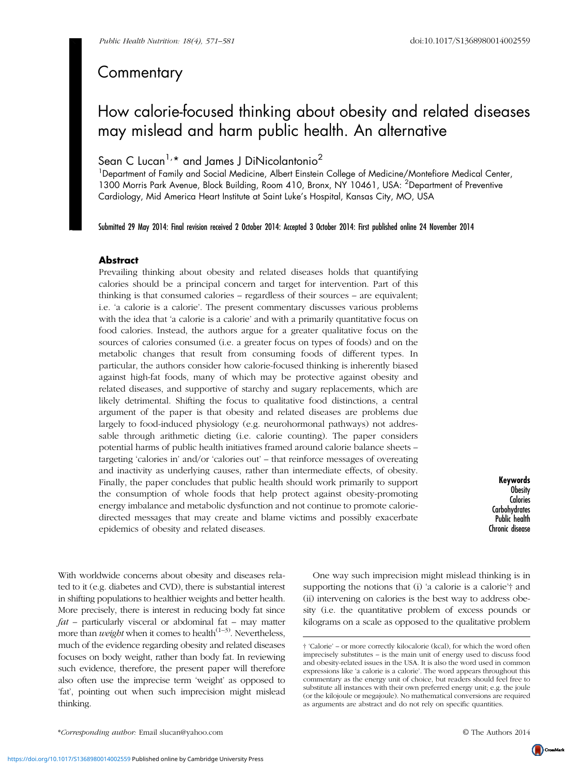# **Commentary**

# How calorie-focused thinking about obesity and related diseases may mislead and harm public health. An alternative

# Sean C Lucan<sup>1,\*</sup> and James J DiNicolantonio<sup>2</sup>

<sup>1</sup>Department of Family and Social Medicine, Albert Einstein College of Medicine/Montefiore Medical Center, 1300 Morris Park Avenue, Block Building, Room 410, Bronx, NY 10461, USA: <sup>2</sup>Department of Preventive Cardiology, Mid America Heart Institute at Saint Luke's Hospital, Kansas City, MO, USA

Submitted 29 May 2014: Final revision received 2 October 2014: Accepted 3 October 2014: First published online 24 November 2014

# **Abstract**

Prevailing thinking about obesity and related diseases holds that quantifying calories should be a principal concern and target for intervention. Part of this thinking is that consumed calories – regardless of their sources – are equivalent; i.e. 'a calorie is a calorie'. The present commentary discusses various problems with the idea that 'a calorie is a calorie' and with a primarily quantitative focus on food calories. Instead, the authors argue for a greater qualitative focus on the sources of calories consumed (i.e. a greater focus on types of foods) and on the metabolic changes that result from consuming foods of different types. In particular, the authors consider how calorie-focused thinking is inherently biased against high-fat foods, many of which may be protective against obesity and related diseases, and supportive of starchy and sugary replacements, which are likely detrimental. Shifting the focus to qualitative food distinctions, a central argument of the paper is that obesity and related diseases are problems due largely to food-induced physiology (e.g. neurohormonal pathways) not addressable through arithmetic dieting (i.e. calorie counting). The paper considers potential harms of public health initiatives framed around calorie balance sheets – targeting 'calories in' and/or 'calories out' – that reinforce messages of overeating and inactivity as underlying causes, rather than intermediate effects, of obesity. Finally, the paper concludes that public health should work primarily to support the consumption of whole foods that help protect against obesity-promoting energy imbalance and metabolic dysfunction and not continue to promote caloriedirected messages that may create and blame victims and possibly exacerbate epidemics of obesity and related diseases.

Keywords Obesity **Calories Carbohydrates** Public health Chronic disease

With worldwide concerns about obesity and diseases related to it (e.g. diabetes and CVD), there is substantial interest in shifting populations to healthier weights and better health. More precisely, there is interest in reducing body fat since  $fat$  – particularly visceral or abdominal fat – may matter more than *weight* when it comes to health<sup> $(1-3)$  $(1-3)$  $(1-3)$  $(1-3)$ </sup>. Nevertheless, much of the evidence regarding obesity and related diseases focuses on body weight, rather than body fat. In reviewing such evidence, therefore, the present paper will therefore also often use the imprecise term 'weight' as opposed to 'fat', pointing out when such imprecision might mislead thinking.

One way such imprecision might mislead thinking is in supporting the notions that (i) 'a calorie is a calorie'† and (ii) intervening on calories is the best way to address obesity (i.e. the quantitative problem of excess pounds or kilograms on a scale as opposed to the qualitative problem

<sup>† &#</sup>x27;Calorie' – or more correctly kilocalorie (kcal), for which the word often imprecisely substitutes – is the main unit of energy used to discuss food and obesity-related issues in the USA. It is also the word used in common expressions like 'a calorie is a calorie'. The word appears throughout this commentary as the energy unit of choice, but readers should feel free to substitute all instances with their own preferred energy unit; e.g. the joule (or the kilojoule or megajoule). No mathematical conversions are required as arguments are abstract and do not rely on specific quantities.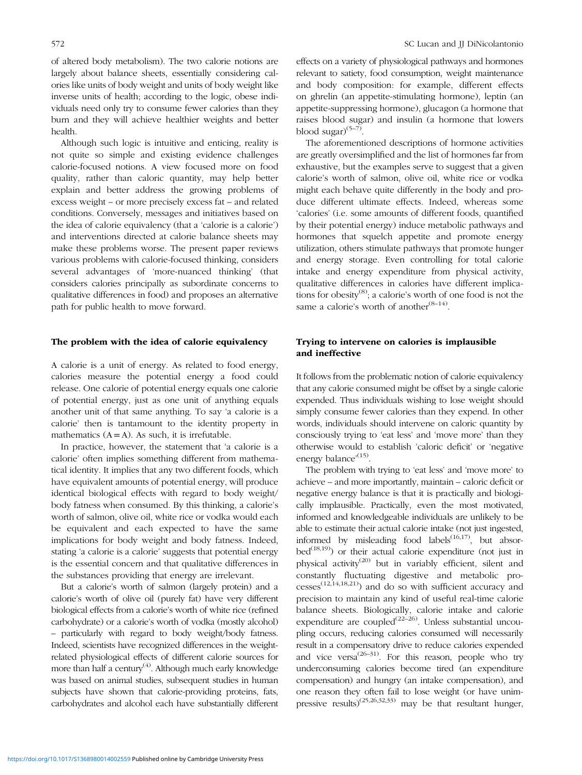of altered body metabolism). The two calorie notions are largely about balance sheets, essentially considering calories like units of body weight and units of body weight like inverse units of health; according to the logic, obese individuals need only try to consume fewer calories than they burn and they will achieve healthier weights and better health.

Although such logic is intuitive and enticing, reality is not quite so simple and existing evidence challenges calorie-focused notions. A view focused more on food quality, rather than caloric quantity, may help better explain and better address the growing problems of excess weight – or more precisely excess fat – and related conditions. Conversely, messages and initiatives based on the idea of calorie equivalency (that a 'calorie is a calorie') and interventions directed at calorie balance sheets may make these problems worse. The present paper reviews various problems with calorie-focused thinking, considers several advantages of 'more-nuanced thinking' (that considers calories principally as subordinate concerns to qualitative differences in food) and proposes an alternative path for public health to move forward.

#### The problem with the idea of calorie equivalency

A calorie is a unit of energy. As related to food energy, calories measure the potential energy a food could release. One calorie of potential energy equals one calorie of potential energy, just as one unit of anything equals another unit of that same anything. To say 'a calorie is a calorie' then is tantamount to the identity property in mathematics  $(A = A)$ . As such, it is irrefutable.

In practice, however, the statement that 'a calorie is a calorie' often implies something different from mathematical identity. It implies that any two different foods, which have equivalent amounts of potential energy, will produce identical biological effects with regard to body weight/ body fatness when consumed. By this thinking, a calorie's worth of salmon, olive oil, white rice or vodka would each be equivalent and each expected to have the same implications for body weight and body fatness. Indeed, stating 'a calorie is a calorie' suggests that potential energy is the essential concern and that qualitative differences in the substances providing that energy are irrelevant.

But a calorie's worth of salmon (largely protein) and a calorie's worth of olive oil (purely fat) have very different biological effects from a calorie's worth of white rice (refined carbohydrate) or a calorie's worth of vodka (mostly alcohol) – particularly with regard to body weight/body fatness. Indeed, scientists have recognized differences in the weightrelated physiological effects of different calorie sources for more than half a century<sup>([4\)](#page-7-0)</sup>. Although much early knowledge was based on animal studies, subsequent studies in human subjects have shown that calorie-providing proteins, fats, carbohydrates and alcohol each have substantially different

effects on a variety of physiological pathways and hormones relevant to satiety, food consumption, weight maintenance and body composition: for example, different effects on ghrelin (an appetite-stimulating hormone), leptin (an appetite-suppressing hormone), glucagon (a hormone that raises blood sugar) and insulin (a hormone that lowers blood sugar $(5-7)$  $(5-7)$  $(5-7)$ .

The aforementioned descriptions of hormone activities are greatly oversimplified and the list of hormones far from exhaustive, but the examples serve to suggest that a given calorie's worth of salmon, olive oil, white rice or vodka might each behave quite differently in the body and produce different ultimate effects. Indeed, whereas some 'calories' (i.e. some amounts of different foods, quantified by their potential energy) induce metabolic pathways and hormones that squelch appetite and promote energy utilization, others stimulate pathways that promote hunger and energy storage. Even controlling for total calorie intake and energy expenditure from physical activity, qualitative differences in calories have different implications for obesity $^{(8)}$  $^{(8)}$  $^{(8)}$ ; a calorie's worth of one food is not the same a calorie's worth of another<sup> $(8-14)$  $(8-14)$  $(8-14)$ </sup>.

### Trying to intervene on calories is implausible and ineffective

It follows from the problematic notion of calorie equivalency that any calorie consumed might be offset by a single calorie expended. Thus individuals wishing to lose weight should simply consume fewer calories than they expend. In other words, individuals should intervene on caloric quantity by consciously trying to 'eat less' and 'move more' than they otherwise would to establish 'caloric deficit' or 'negative energy balance<sup>,[\(15\)](#page-7-0)</sup>.

The problem with trying to 'eat less' and 'move more' to achieve – and more importantly, maintain – caloric deficit or negative energy balance is that it is practically and biologically implausible. Practically, even the most motivated, informed and knowledgeable individuals are unlikely to be able to estimate their actual calorie intake (not just ingested, informed by misleading food labels<sup> $(16,17)$  $(16,17)$ </sup>, but absor- $bed^{(18,19)}$  $bed^{(18,19)}$  $bed^{(18,19)}$ ) or their actual calorie expenditure (not just in physical activity[\(20\)](#page-7-0) but in variably efficient, silent and constantly fluctuating digestive and metabolic pro- $cesses^{(12,14,18,21)}$  $cesses^{(12,14,18,21)}$  $cesses^{(12,14,18,21)}$  and do so with sufficient accuracy and precision to maintain any kind of useful real-time calorie balance sheets. Biologically, calorie intake and calorie expenditure are coupled<sup> $(22-26)$  $(22-26)$  $(22-26)$ </sup>. Unless substantial uncoupling occurs, reducing calories consumed will necessarily result in a compensatory drive to reduce calories expended and vice versa<sup> $(26-31)$  $(26-31)$  $(26-31)$  $(26-31)$ </sup>. For this reason, people who try underconsuming calories become tired (an expenditure compensation) and hungry (an intake compensation), and one reason they often fail to lose weight (or have unim-pressive results)<sup>[\(25,26,32](#page-7-0),[33\)](#page-7-0)</sup> may be that resultant hunger,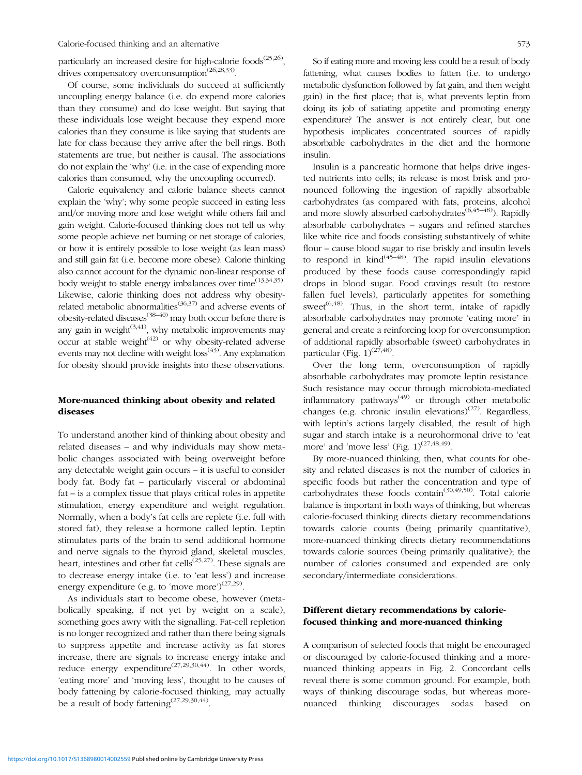particularly an increased desire for high-calorie foods<sup> $(25,26)$  $(25,26)$ </sup>, drives compensatory overconsumption<sup>[\(26](#page-7-0),[28,33\)](#page-7-0)</sup>.

Of course, some individuals do succeed at sufficiently uncoupling energy balance (i.e. do expend more calories than they consume) and do lose weight. But saying that these individuals lose weight because they expend more calories than they consume is like saying that students are late for class because they arrive after the bell rings. Both statements are true, but neither is causal. The associations do not explain the 'why' (i.e. in the case of expending more calories than consumed, why the uncoupling occurred).

Calorie equivalency and calorie balance sheets cannot explain the 'why'; why some people succeed in eating less and/or moving more and lose weight while others fail and gain weight. Calorie-focused thinking does not tell us why some people achieve net burning or net storage of calories, or how it is entirely possible to lose weight (as lean mass) and still gain fat (i.e. become more obese). Calorie thinking also cannot account for the dynamic non-linear response of body weight to stable energy imbalances over time<sup>([13,34,35](#page-7-0))</sup>. Likewise, calorie thinking does not address why obesity-related metabolic abnormalities<sup>[\(36](#page-7-0),[37\)](#page-7-0)</sup> and adverse events of obesity-related diseases<sup>([38](#page-7-0)–[40\)](#page-7-0)</sup> may both occur before there is any gain in weight $^{(3,41)}$  $^{(3,41)}$  $^{(3,41)}$  $^{(3,41)}$  $^{(3,41)}$ , why metabolic improvements may occur at stable weight $(42)$  $(42)$  $(42)$  or why obesity-related adverse events may not decline with weight  $loss^{(43)}$  $loss^{(43)}$  $loss^{(43)}$ . Any explanation for obesity should provide insights into these observations.

## More-nuanced thinking about obesity and related diseases

To understand another kind of thinking about obesity and related diseases – and why individuals may show metabolic changes associated with being overweight before any detectable weight gain occurs – it is useful to consider body fat. Body fat – particularly visceral or abdominal fat – is a complex tissue that plays critical roles in appetite stimulation, energy expenditure and weight regulation. Normally, when a body's fat cells are replete (i.e. full with stored fat), they release a hormone called leptin. Leptin stimulates parts of the brain to send additional hormone and nerve signals to the thyroid gland, skeletal muscles, heart, intestines and other fat cells<sup> $(25,27)$  $(25,27)$ </sup>. These signals are to decrease energy intake (i.e. to 'eat less') and increase energy expenditure (e.g. to 'move more')<sup>[\(27,29](#page-7-0))</sup>.

As individuals start to become obese, however (metabolically speaking, if not yet by weight on a scale), something goes awry with the signalling. Fat-cell repletion is no longer recognized and rather than there being signals to suppress appetite and increase activity as fat stores increase, there are signals to increase energy intake and reduce energy expenditure<sup>([27](#page-7-0),[29,30,44\)](#page-7-0)</sup>. In other words, 'eating more' and 'moving less', thought to be causes of body fattening by calorie-focused thinking, may actually be a result of body fattening<sup> $(27,29,30,44)$  $(27,29,30,44)$  $(27,29,30,44)$  $(27,29,30,44)$  $(27,29,30,44)$ </sup>.

So if eating more and moving less could be a result of body fattening, what causes bodies to fatten (i.e. to undergo metabolic dysfunction followed by fat gain, and then weight gain) in the first place; that is, what prevents leptin from doing its job of satiating appetite and promoting energy expenditure? The answer is not entirely clear, but one hypothesis implicates concentrated sources of rapidly absorbable carbohydrates in the diet and the hormone insulin.

Insulin is a pancreatic hormone that helps drive ingested nutrients into cells; its release is most brisk and pronounced following the ingestion of rapidly absorbable carbohydrates (as compared with fats, proteins, alcohol and more slowly absorbed carbohydrates<sup> $(6,45-48)$  $(6,45-48)$  $(6,45-48)$  $(6,45-48)$ </sup>). Rapidly absorbable carbohydrates – sugars and refined starches like white rice and foods consisting substantively of white flour – cause blood sugar to rise briskly and insulin levels to respond in  $\text{kind}^{(45-48)}$  $\text{kind}^{(45-48)}$  $\text{kind}^{(45-48)}$  $\text{kind}^{(45-48)}$  $\text{kind}^{(45-48)}$ . The rapid insulin elevations produced by these foods cause correspondingly rapid drops in blood sugar. Food cravings result (to restore fallen fuel levels), particularly appetites for something sweet<sup> $(6,48)$  $(6,48)$  $(6,48)$  $(6,48)$ </sup>. Thus, in the short term, intake of rapidly absorbable carbohydrates may promote 'eating more' in general and create a reinforcing loop for overconsumption of additional rapidly absorbable (sweet) carbohydrates in particular (Fig.  $1)^{(27,48)}$  $1)^{(27,48)}$  $1)^{(27,48)}$  $1)^{(27,48)}$ .

Over the long term, overconsumption of rapidly absorbable carbohydrates may promote leptin resistance. Such resistance may occur through microbiota-mediated inflammatory pathways<sup> $(49)$  $(49)$ </sup> or through other metabolic changes (e.g. chronic insulin elevations) $(27)$ . Regardless, with leptin's actions largely disabled, the result of high sugar and starch intake is a neurohormonal drive to 'eat more' and 'move less' (Fig.  $1$ )<sup>[\(27,](#page-7-0)[48,49](#page-8-0))</sup>.

By more-nuanced thinking, then, what counts for obesity and related diseases is not the number of calories in specific foods but rather the concentration and type of carbohydrates these foods contain([30](#page-7-0)[,49,50](#page-8-0)). Total calorie balance is important in both ways of thinking, but whereas calorie-focused thinking directs dietary recommendations towards calorie counts (being primarily quantitative), more-nuanced thinking directs dietary recommendations towards calorie sources (being primarily qualitative); the number of calories consumed and expended are only secondary/intermediate considerations.

### Different dietary recommendations by caloriefocused thinking and more-nuanced thinking

A comparison of selected foods that might be encouraged or discouraged by calorie-focused thinking and a morenuanced thinking appears in [Fig. 2.](#page-3-0) Concordant cells reveal there is some common ground. For example, both ways of thinking discourage sodas, but whereas morenuanced thinking discourages sodas based on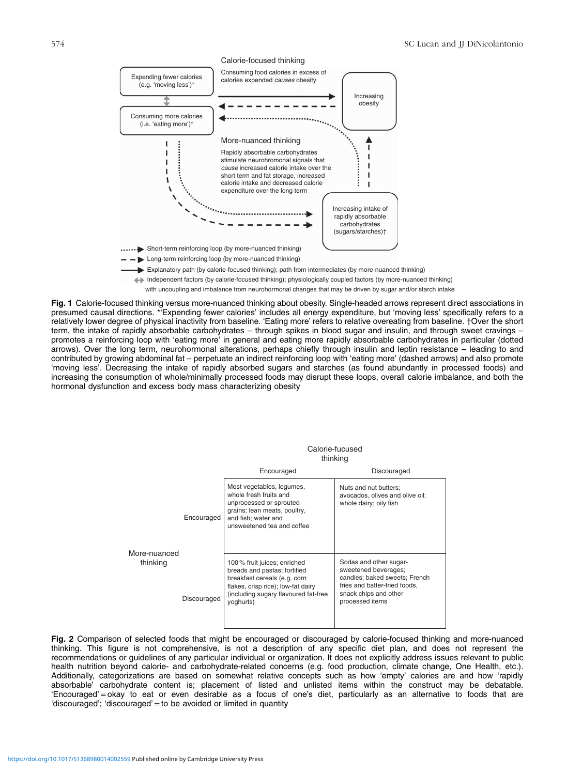<span id="page-3-0"></span>

with uncoupling and imbalance from neurohormonal changes that may be driven by sugar and/or starch intake

Fig. 1 Calorie-focused thinking versus more-nuanced thinking about obesity. Single-headed arrows represent direct associations in presumed causal directions. \*'Expending fewer calories' includes all energy expenditure, but 'moving less' specifically refers to a relatively lower degree of physical inactivity from baseline. 'Eating more' refers to relative overeating from baseline. †Over the short term, the intake of rapidly absorbable carbohydrates – through spikes in blood sugar and insulin, and through sweet cravings – promotes a reinforcing loop with 'eating more' in general and eating more rapidly absorbable carbohydrates in particular (dotted arrows). Over the long term, neurohormonal alterations, perhaps chiefly through insulin and leptin resistance – leading to and contributed by growing abdominal fat – perpetuate an indirect reinforcing loop with 'eating more' (dashed arrows) and also promote 'moving less'. Decreasing the intake of rapidly absorbed sugars and starches (as found abundantly in processed foods) and increasing the consumption of whole/minimally processed foods may disrupt these loops, overall calorie imbalance, and both the hormonal dysfunction and excess body mass characterizing obesity

|                          |             | Calorie-fucused<br>thinking                                                                                                                                                            |                                                                                                                                                              |  |  |  |
|--------------------------|-------------|----------------------------------------------------------------------------------------------------------------------------------------------------------------------------------------|--------------------------------------------------------------------------------------------------------------------------------------------------------------|--|--|--|
|                          |             | Encouraged                                                                                                                                                                             | Discouraged                                                                                                                                                  |  |  |  |
| More-nuanced<br>thinking | Encouraged  | Most vegetables, legumes,<br>whole fresh fruits and<br>unprocessed or sprouted<br>grains; lean meats, poultry,<br>and fish; water and<br>unsweetened tea and coffee                    | Nuts and nut butters;<br>avocados, olives and olive oil;<br>whole dairy; oily fish                                                                           |  |  |  |
|                          | Discouraged | 100% fruit juices; enriched<br>breads and pastas; fortified<br>breakfast cereals (e.g. corn<br>flakes, crisp rice); low-fat dairy<br>(including sugary flavoured fat-free<br>yoghurts) | Sodas and other sugar-<br>sweetened beverages;<br>candies; baked sweets; French<br>fries and batter-fried foods,<br>snack chips and other<br>processed items |  |  |  |

Fig. 2 Comparison of selected foods that might be encouraged or discouraged by calorie-focused thinking and more-nuanced thinking. This figure is not comprehensive, is not a description of any specific diet plan, and does not represent the recommendations or guidelines of any particular individual or organization. It does not explicitly address issues relevant to public health nutrition beyond calorie- and carbohydrate-related concerns (e.g. food production, climate change, One Health, etc.). Additionally, categorizations are based on somewhat relative concepts such as how 'empty' calories are and how 'rapidly absorbable' carbohydrate content is; placement of listed and unlisted items within the construct may be debatable. 'Encouraged'=okay to eat or even desirable as a focus of one's diet, particularly as an alternative to foods that are 'discouraged'; 'discouraged'=to be avoided or limited in quantity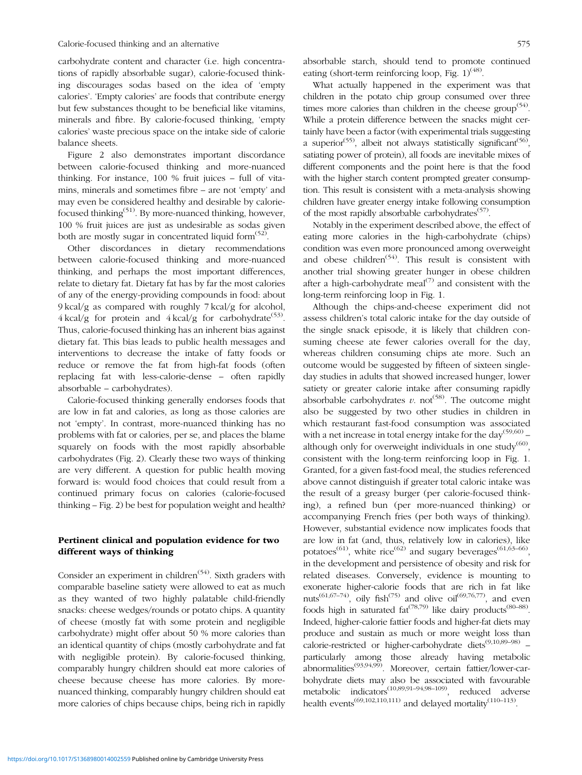carbohydrate content and character (i.e. high concentrations of rapidly absorbable sugar), calorie-focused thinking discourages sodas based on the idea of 'empty calories'. 'Empty calories' are foods that contribute energy but few substances thought to be beneficial like vitamins, minerals and fibre. By calorie-focused thinking, 'empty calories' waste precious space on the intake side of calorie balance sheets.

[Figure 2](#page-3-0) also demonstrates important discordance between calorie-focused thinking and more-nuanced thinking. For instance, 100 % fruit juices – full of vitamins, minerals and sometimes fibre – are not 'empty' and may even be considered healthy and desirable by caloriefocused thinking<sup> $(51)$  $(51)$ </sup>. By more-nuanced thinking, however, 100 % fruit juices are just as undesirable as sodas given both are mostly sugar in concentrated liquid form $(52)$  $(52)$ .

Other discordances in dietary recommendations between calorie-focused thinking and more-nuanced thinking, and perhaps the most important differences, relate to dietary fat. Dietary fat has by far the most calories of any of the energy-providing compounds in food: about 9 kcal/g as compared with roughly 7 kcal/g for alcohol,  $4 \text{ kcal/g}$  for protein and  $4 \text{ kcal/g}$  for carbohydrate<sup>([53](#page-8-0))</sup>. Thus, calorie-focused thinking has an inherent bias against dietary fat. This bias leads to public health messages and interventions to decrease the intake of fatty foods or reduce or remove the fat from high-fat foods (often replacing fat with less-calorie-dense – often rapidly absorbable – carbohydrates).

Calorie-focused thinking generally endorses foods that are low in fat and calories, as long as those calories are not 'empty'. In contrast, more-nuanced thinking has no problems with fat or calories, per se, and places the blame squarely on foods with the most rapidly absorbable carbohydrates [\(Fig. 2](#page-3-0)). Clearly these two ways of thinking are very different. A question for public health moving forward is: would food choices that could result from a continued primary focus on calories (calorie-focused thinking – [Fig. 2\)](#page-3-0) be best for population weight and health?

# Pertinent clinical and population evidence for two different ways of thinking

Consider an experiment in children<sup> $(54)$  $(54)$ </sup>. Sixth graders with comparable baseline satiety were allowed to eat as much as they wanted of two highly palatable child-friendly snacks: cheese wedges/rounds or potato chips. A quantity of cheese (mostly fat with some protein and negligible carbohydrate) might offer about 50 % more calories than an identical quantity of chips (mostly carbohydrate and fat with negligible protein). By calorie-focused thinking, comparably hungry children should eat more calories of cheese because cheese has more calories. By morenuanced thinking, comparably hungry children should eat more calories of chips because chips, being rich in rapidly absorbable starch, should tend to promote continued eating (short-term reinforcing loop, Fig.  $1$ )<sup>([48\)](#page-8-0)</sup>.

What actually happened in the experiment was that children in the potato chip group consumed over three times more calories than children in the cheese group<sup> $(54)$  $(54)$ </sup>. While a protein difference between the snacks might certainly have been a factor (with experimental trials suggesting a superior<sup>([55\)](#page-8-0)</sup>, albeit not always statistically significant<sup>[\(56](#page-8-0))</sup>, satiating power of protein), all foods are inevitable mixes of different components and the point here is that the food with the higher starch content prompted greater consumption. This result is consistent with a meta-analysis showing children have greater energy intake following consumption of the most rapidly absorbable carbohydrates<sup> $(57)$  $(57)$ </sup>.

Notably in the experiment described above, the effect of eating more calories in the high-carbohydrate (chips) condition was even more pronounced among overweight and obese children<sup> $(54)$  $(54)$  $(54)$ </sup>. This result is consistent with another trial showing greater hunger in obese children after a high-carbohydrate meal<sup> $(7)$ </sup> and consistent with the long-term reinforcing loop in [Fig. 1](#page-3-0).

Although the chips-and-cheese experiment did not assess children's total caloric intake for the day outside of the single snack episode, it is likely that children consuming cheese ate fewer calories overall for the day, whereas children consuming chips ate more. Such an outcome would be suggested by fifteen of sixteen singleday studies in adults that showed increased hunger, lower satiety or greater calorie intake after consuming rapidly absorbable carbohydrates v. not<sup> $(58)$  $(58)$ </sup>. The outcome might also be suggested by two other studies in children in which restaurant fast-food consumption was associated with a net increase in total energy intake for the  $day^{(59,60)}$  $day^{(59,60)}$  $day^{(59,60)}$  – although only for overweight individuals in one study<sup>([60\)](#page-8-0)</sup>, consistent with the long-term reinforcing loop in [Fig. 1](#page-3-0). Granted, for a given fast-food meal, the studies referenced above cannot distinguish if greater total caloric intake was the result of a greasy burger (per calorie-focused thinking), a refined bun (per more-nuanced thinking) or accompanying French fries (per both ways of thinking). However, substantial evidence now implicates foods that are low in fat (and, thus, relatively low in calories), like potatoes<sup>([61](#page-8-0))</sup>, white rice<sup>([62](#page-8-0))</sup> and sugary beverages<sup>[\(61,63](#page-8-0)–[66\)](#page-8-0)</sup>, in the development and persistence of obesity and risk for related diseases. Conversely, evidence is mounting to exonerate higher-calorie foods that are rich in fat like nuts<sup>[\(61](#page-8-0),[67](#page-8-0)–[74\)](#page-8-0)</sup>, oily fish<sup>[\(75](#page-8-0))</sup> and olive oil<sup>[\(69,76,77](#page-8-0))</sup>, and even foods high in saturated  $\text{fat}^{(78,79)}$  $\text{fat}^{(78,79)}$  $\text{fat}^{(78,79)}$  like dairy products<sup>[\(80](#page-8-0)–[88](#page-9-0))</sup>. Indeed, higher-calorie fattier foods and higher-fat diets may produce and sustain as much or more weight loss than calorie-restricted or higher-carbohydrate diets<sup>[\(9,10](#page-7-0),[89](#page-9-0)–[98](#page-9-0))</sup> – particularly among those already having metabolic abnormalities[\(93,94,99\)](#page-9-0). Moreover, certain fattier/lower-carbohydrate diets may also be associated with favourable metabolic indicators([10](#page-7-0)[,89](#page-9-0),[91](#page-9-0)–[94](#page-9-0),[98](#page-9-0)–[109](#page-9-0)), reduced adverse health events<sup> $(69,102,110,111)$  $(69,102,110,111)$ </sup> and delayed mortality<sup> $(110-113)$  $(110-113)$  $(110-113)$  $(110-113)$ </sup>.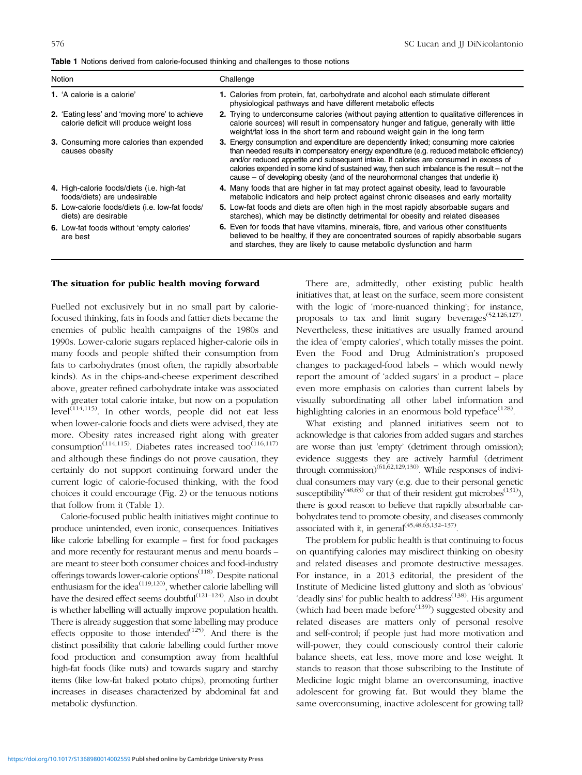<span id="page-5-0"></span>

| <b>Table 1</b> Notions derived from calorie-focused thinking and challenges to those notions |  |  |  |
|----------------------------------------------------------------------------------------------|--|--|--|
|                                                                                              |  |  |  |

| Notion |                                                                                           | Challenge                                                                                                                                                                                                                                                                                                                                                                                                                                                        |  |  |  |
|--------|-------------------------------------------------------------------------------------------|------------------------------------------------------------------------------------------------------------------------------------------------------------------------------------------------------------------------------------------------------------------------------------------------------------------------------------------------------------------------------------------------------------------------------------------------------------------|--|--|--|
|        | <b>1.</b> 'A calorie is a calorie'                                                        | 1. Calories from protein, fat, carbohydrate and alcohol each stimulate different<br>physiological pathways and have different metabolic effects                                                                                                                                                                                                                                                                                                                  |  |  |  |
|        | 2. 'Eating less' and 'moving more' to achieve<br>calorie deficit will produce weight loss | 2. Trying to underconsume calories (without paying attention to qualitative differences in<br>calorie sources) will result in compensatory hunger and fatigue, generally with little<br>weight/fat loss in the short term and rebound weight gain in the long term                                                                                                                                                                                               |  |  |  |
|        | <b>3.</b> Consuming more calories than expended<br>causes obesity                         | 3. Energy consumption and expenditure are dependently linked; consuming more calories<br>than needed results in compensatory energy expenditure (e.g. reduced metabolic efficiency)<br>and/or reduced appetite and subsequent intake. If calories are consumed in excess of<br>calories expended in some kind of sustained way, then such imbalance is the result – not the<br>cause – of developing obesity (and of the neurohormonal changes that underlie it) |  |  |  |
|        | 4. High-calorie foods/diets (i.e. high-fat<br>foods/diets) are undesirable                | 4. Many foods that are higher in fat may protect against obesity, lead to favourable<br>metabolic indicators and help protect against chronic diseases and early mortality                                                                                                                                                                                                                                                                                       |  |  |  |
|        | 5. Low-calorie foods/diets (i.e. low-fat foods/<br>diets) are desirable                   | 5. Low-fat foods and diets are often high in the most rapidly absorbable sugars and<br>starches), which may be distinctly detrimental for obesity and related diseases                                                                                                                                                                                                                                                                                           |  |  |  |
|        | 6. Low-fat foods without 'empty calories'<br>are best                                     | 6. Even for foods that have vitamins, minerals, fibre, and various other constituents<br>believed to be healthy, if they are concentrated sources of rapidly absorbable sugars<br>and starches, they are likely to cause metabolic dysfunction and harm                                                                                                                                                                                                          |  |  |  |

#### The situation for public health moving forward

Fuelled not exclusively but in no small part by caloriefocused thinking, fats in foods and fattier diets became the enemies of public health campaigns of the 1980s and 1990s. Lower-calorie sugars replaced higher-calorie oils in many foods and people shifted their consumption from fats to carbohydrates (most often, the rapidly absorbable kinds). As in the chips-and-cheese experiment described above, greater refined carbohydrate intake was associated with greater total calorie intake, but now on a population  $level^{(114,115)}$  $level^{(114,115)}$  $level^{(114,115)}$ . In other words, people did not eat less when lower-calorie foods and diets were advised, they ate more. Obesity rates increased right along with greater consumption<sup>[\(114,115](#page-9-0))</sup>. Diabetes rates increased too<sup>[\(116,117](#page-9-0))</sup> and although these findings do not prove causation, they certainly do not support continuing forward under the current logic of calorie-focused thinking, with the food choices it could encourage [\(Fig. 2](#page-3-0)) or the tenuous notions that follow from it (Table 1).

Calorie-focused public health initiatives might continue to produce unintended, even ironic, consequences. Initiatives like calorie labelling for example – first for food packages and more recently for restaurant menus and menu boards – are meant to steer both consumer choices and food-industry offerings towards lower-calorie options<sup>[\(118](#page-9-0))</sup>. Despite national enthusiasm for the idea<sup>(119,120</sup>), whether calorie labelling will have the desired effect seems doubtful<sup> $(121-124)$  $(121-124)$  $(121-124)$  $(121-124)$ </sup>. Also in doubt is whether labelling will actually improve population health. There is already suggestion that some labelling may produce effects opposite to those intended<sup> $(125)$  $(125)$ </sup>. And there is the distinct possibility that calorie labelling could further move food production and consumption away from healthful high-fat foods (like nuts) and towards sugary and starchy items (like low-fat baked potato chips), promoting further increases in diseases characterized by abdominal fat and metabolic dysfunction.

There are, admittedly, other existing public health initiatives that, at least on the surface, seem more consistent with the logic of 'more-nuanced thinking'; for instance, proposals to tax and limit sugary beverages<sup> $(52,126,127)$  $(52,126,127)$  $(52,126,127)$  $(52,126,127)$  $(52,126,127)$ </sup>. Nevertheless, these initiatives are usually framed around the idea of 'empty calories', which totally misses the point. Even the Food and Drug Administration's proposed changes to packaged-food labels – which would newly report the amount of 'added sugars' in a product – place even more emphasis on calories than current labels by visually subordinating all other label information and highlighting calories in an enormous bold typeface<sup> $(128)$  $(128)$ </sup>.

What existing and planned initiatives seem not to acknowledge is that calories from added sugars and starches are worse than just 'empty' (detriment through omission); evidence suggests they are actively harmful (detriment through commission)<sup> $(61,62,129,130)$  $(61,62,129,130)$  $(61,62,129,130)$ </sup>. While responses of individual consumers may vary (e.g. due to their personal genetic susceptibility<sup>([48,63\)](#page-8-0)</sup> or that of their resident gut microbes<sup>[\(131\)](#page-10-0)</sup>), there is good reason to believe that rapidly absorbable carbohydrates tend to promote obesity, and diseases commonly associated with it, in general<sup> $(45,48,63,132-137)$  $(45,48,63,132-137)$  $(45,48,63,132-137)$  $(45,48,63,132-137)$  $(45,48,63,132-137)$  $(45,48,63,132-137)$  $(45,48,63,132-137)$ </sup>.

The problem for public health is that continuing to focus on quantifying calories may misdirect thinking on obesity and related diseases and promote destructive messages. For instance, in a 2013 editorial, the president of the Institute of Medicine listed gluttony and sloth as 'obvious' 'deadly sins' for public health to address<sup>([138](#page-10-0))</sup>. His argument (which had been made before<sup> $(139)$  $(139)$  $(139)$ </sup>) suggested obesity and related diseases are matters only of personal resolve and self-control; if people just had more motivation and will-power, they could consciously control their calorie balance sheets, eat less, move more and lose weight. It stands to reason that those subscribing to the Institute of Medicine logic might blame an overconsuming, inactive adolescent for growing fat. But would they blame the same overconsuming, inactive adolescent for growing tall?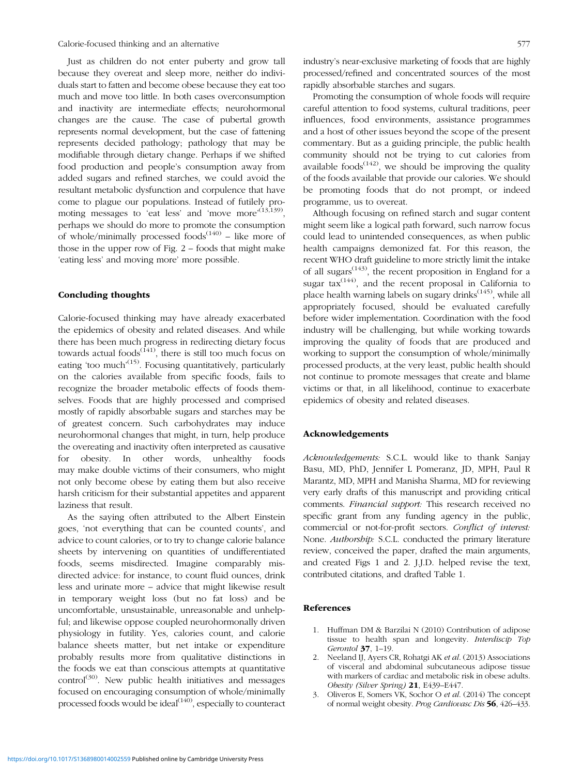<span id="page-6-0"></span>Calorie-focused thinking and an alternative 577

Just as children do not enter puberty and grow tall because they overeat and sleep more, neither do individuals start to fatten and become obese because they eat too much and move too little. In both cases overconsumption and inactivity are intermediate effects; neurohormonal changes are the cause. The case of pubertal growth represents normal development, but the case of fattening represents decided pathology; pathology that may be modifiable through dietary change. Perhaps if we shifted food production and people's consumption away from added sugars and refined starches, we could avoid the resultant metabolic dysfunction and corpulence that have come to plague our populations. Instead of futilely pro-moting messages to 'eat less' and 'move more'<sup>([13](#page-7-0)[,139](#page-10-0))</sup>, perhaps we should do more to promote the consumption of whole/minimally processed foods $(140)$  $(140)$  – like more of those in the upper row of [Fig. 2](#page-3-0) – foods that might make 'eating less' and moving more' more possible.

#### Concluding thoughts

Calorie-focused thinking may have already exacerbated the epidemics of obesity and related diseases. And while there has been much progress in redirecting dietary focus towards actual foods $^{(141)}$  $^{(141)}$  $^{(141)}$ , there is still too much focus on eating 'too much'<sup>([15\)](#page-7-0)</sup>. Focusing quantitatively, particularly on the calories available from specific foods, fails to recognize the broader metabolic effects of foods themselves. Foods that are highly processed and comprised mostly of rapidly absorbable sugars and starches may be of greatest concern. Such carbohydrates may induce neurohormonal changes that might, in turn, help produce the overeating and inactivity often interpreted as causative for obesity. In other words, unhealthy foods may make double victims of their consumers, who might not only become obese by eating them but also receive harsh criticism for their substantial appetites and apparent laziness that result.

As the saying often attributed to the Albert Einstein goes, 'not everything that can be counted counts', and advice to count calories, or to try to change calorie balance sheets by intervening on quantities of undifferentiated foods, seems misdirected. Imagine comparably misdirected advice: for instance, to count fluid ounces, drink less and urinate more – advice that might likewise result in temporary weight loss (but no fat loss) and be uncomfortable, unsustainable, unreasonable and unhelpful; and likewise oppose coupled neurohormonally driven physiology in futility. Yes, calories count, and calorie balance sheets matter, but net intake or expenditure probably results more from qualitative distinctions in the foods we eat than conscious attempts at quantitative  $control^{(30)}$  $control^{(30)}$  $control^{(30)}$ . New public health initiatives and messages focused on encouraging consumption of whole/minimally processed foods would be ideal<sup>[\(140\)](#page-10-0)</sup>, especially to counteract industry's near-exclusive marketing of foods that are highly processed/refined and concentrated sources of the most rapidly absorbable starches and sugars.

Promoting the consumption of whole foods will require careful attention to food systems, cultural traditions, peer influences, food environments, assistance programmes and a host of other issues beyond the scope of the present commentary. But as a guiding principle, the public health community should not be trying to cut calories from available foods<sup> $(142)$ </sup>, we should be improving the quality of the foods available that provide our calories. We should be promoting foods that do not prompt, or indeed programme, us to overeat.

Although focusing on refined starch and sugar content might seem like a logical path forward, such narrow focus could lead to unintended consequences, as when public health campaigns demonized fat. For this reason, the recent WHO draft guideline to more strictly limit the intake of all sugars<sup> $(143)$  $(143)$  $(143)$ </sup>, the recent proposition in England for a sugar  $\text{tax}^{(144)}$  $\text{tax}^{(144)}$  $\text{tax}^{(144)}$ , and the recent proposal in California to place health warning labels on sugary drinks<sup> $(145)$ </sup>, while all appropriately focused, should be evaluated carefully before wider implementation. Coordination with the food industry will be challenging, but while working towards improving the quality of foods that are produced and working to support the consumption of whole/minimally processed products, at the very least, public health should not continue to promote messages that create and blame victims or that, in all likelihood, continue to exacerbate epidemics of obesity and related diseases.

#### Acknowledgements

Acknowledgements: S.C.L. would like to thank Sanjay Basu, MD, PhD, Jennifer L Pomeranz, JD, MPH, Paul R Marantz, MD, MPH and Manisha Sharma, MD for reviewing very early drafts of this manuscript and providing critical comments. Financial support: This research received no specific grant from any funding agency in the public, commercial or not-for-profit sectors. Conflict of interest: None. Authorship: S.C.L. conducted the primary literature review, conceived the paper, drafted the main arguments, and created [Figs 1](#page-3-0) and [2.](#page-3-0) J.J.D. helped revise the text, contributed citations, and drafted [Table 1](#page-5-0).

#### References

- 1. Huffman DM & Barzilai N (2010) Contribution of adipose tissue to health span and longevity. Interdiscip Top Gerontol 37, 1–19.
- 2. Neeland IJ, Ayers CR, Rohatgi AK et al. (2013) Associations of visceral and abdominal subcutaneous adipose tissue with markers of cardiac and metabolic risk in obese adults. Obesity (Silver Spring) 21, E439–E447.
- 3. Oliveros E, Somers VK, Sochor O et al. (2014) The concept of normal weight obesity. Prog Cardiovasc Dis 56, 426–433.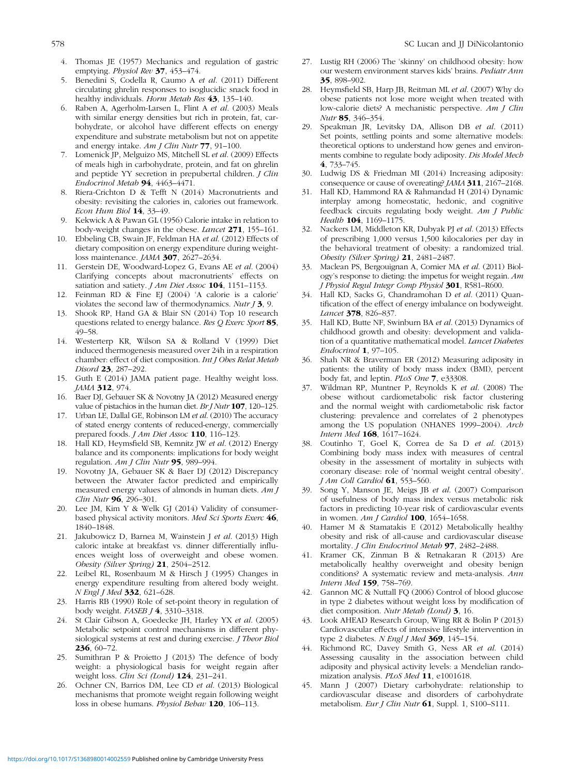- <span id="page-7-0"></span>4. Thomas JE (1957) Mechanics and regulation of gastric emptying. Physiol Rev 37, 453-474.
- 5. Benedini S, Codella R, Caumo A et al. (2011) Different circulating ghrelin responses to isoglucidic snack food in healthy individuals. Horm Metab Res 43, 135–140.
- 6. Raben A, Agerholm-Larsen L, Flint A et al. (2003) Meals with similar energy densities but rich in protein, fat, carbohydrate, or alcohol have different effects on energy expenditure and substrate metabolism but not on appetite and energy intake. Am J Clin Nutr 77, 91–100.
- 7. Lomenick JP, Melguizo MS, Mitchell SL et al. (2009) Effects of meals high in carbohydrate, protein, and fat on ghrelin and peptide YY secretion in prepubertal children. J Clin Endocrinol Metab  $94, 4463 - 4471.$
- 8. Riera-Crichton D & Tefft N (2014) Macronutrients and obesity: revisiting the calories in, calories out framework. Econ Hum Biol 14, 33–49.
- 9. Kekwick A & Pawan GL (1956) Calorie intake in relation to body-weight changes in the obese. Lancet 271, 155–161.
- 10. Ebbeling CB, Swain JF, Feldman HA et al. (2012) Effects of dietary composition on energy expenditure during weightloss maintenance. JAMA 307, 2627–2634.
- 11. Gerstein DE, Woodward-Lopez G, Evans AE et al. (2004) Clarifying concepts about macronutrients' effects on satiation and satiety. *J Am Diet Assoc* 104, 1151-1153.
- 12. Feinman RD & Fine EJ (2004) 'A calorie is a calorie' violates the second law of thermodynamics. Nutr  $\overline{J}3$ , 9.
- 13. Shook RP, Hand GA & Blair SN (2014) Top 10 research questions related to energy balance. Res Q Exerc Sport 85, 49–58.
- 14. Westerterp KR, Wilson SA & Rolland V (1999) Diet induced thermogenesis measured over 24h in a respiration chamber: effect of diet composition. Int J Obes Relat Metab Disord 23, 287-292.
- 15. Guth E (2014) JAMA patient page. Healthy weight loss. JAMA 312, 974.
- 16. Baer DJ, Gebauer SK & Novotny JA (2012) Measured energy value of pistachios in the human diet. Br J Nutr 107, 120-125.
- 17. Urban LE, Dallal GE, Robinson LM et al. (2010) The accuracy of stated energy contents of reduced-energy, commercially prepared foods. J Am Diet Assoc 110, 116-123.
- 18. Hall KD, Heymsfield SB, Kemnitz JW et al. (2012) Energy balance and its components: implications for body weight regulation. Am J Clin Nutr 95, 989-994.
- 19. Novotny JA, Gebauer SK & Baer DJ (2012) Discrepancy between the Atwater factor predicted and empirically measured energy values of almonds in human diets. Am J Clin Nutr **96**, 296-301.
- 20. Lee JM, Kim Y & Welk GJ (2014) Validity of consumerbased physical activity monitors. Med Sci Sports Exerc 46, 1840–1848.
- 21. Jakubowicz D, Barnea M, Wainstein J et al. (2013) High caloric intake at breakfast vs. dinner differentially influences weight loss of overweight and obese women. Obesity (Silver Spring) 21, 2504–2512.
- 22. Leibel RL, Rosenbaum M & Hirsch J (1995) Changes in energy expenditure resulting from altered body weight. N Engl J Med 332, 621–628.
- 23. Harris RB (1990) Role of set-point theory in regulation of body weight. FASEB J 4, 3310–3318.
- 24. St Clair Gibson A, Goedecke JH, Harley YX et al. (2005) Metabolic setpoint control mechanisms in different physiological systems at rest and during exercise. J Theor Biol 236, 60–72.
- 25. Sumithran P & Proietto J (2013) The defence of body weight: a physiological basis for weight regain after weight loss. Clin Sci (Lond) 124, 231-241.
- 26. Ochner CN, Barrios DM, Lee CD et al. (2013) Biological mechanisms that promote weight regain following weight loss in obese humans. Physiol Behav 120, 106-113.
- 27. Lustig RH (2006) The 'skinny' on childhood obesity: how our western environment starves kids' brains. Pediatr Ann 35, 898–902.
- 28. Heymsfield SB, Harp JB, Reitman ML et al. (2007) Why do obese patients not lose more weight when treated with low-calorie diets? A mechanistic perspective. Am J Clin Nutr 85, 346–354.
- 29. Speakman JR, Levitsky DA, Allison DB et al. (2011) Set points, settling points and some alternative models: theoretical options to understand how genes and environments combine to regulate body adiposity. Dis Model Mech 4, 733–745.
- 30. Ludwig DS & Friedman MI (2014) Increasing adiposity: consequence or cause of overeating? JAMA 311, 2167–2168.
- 31. Hall KD, Hammond RA & Rahmandad H (2014) Dynamic interplay among homeostatic, hedonic, and cognitive feedback circuits regulating body weight. Am J Public Health 104, 1169-1175.
- 32. Nackers LM, Middleton KR, Dubyak PJ et al. (2013) Effects of prescribing 1,000 versus 1,500 kilocalories per day in the behavioral treatment of obesity: a randomized trial. Obesity (Silver Spring) 21, 2481–2487.
- 33. Maclean PS, Bergouignan A, Cornier MA et al. (2011) Biology's response to dieting: the impetus for weight regain. Am J Physiol Regul Integr Comp Physiol 301, R581–R600.
- 34. Hall KD, Sacks G, Chandramohan D et al. (2011) Quantification of the effect of energy imbalance on bodyweight. Lancet 378, 826-837.
- 35. Hall KD, Butte NF, Swinburn BA et al. (2013) Dynamics of childhood growth and obesity: development and validation of a quantitative mathematical model. Lancet Diabetes Endocrinol 1, 97–105.
- 36. Shah NR & Braverman ER (2012) Measuring adiposity in patients: the utility of body mass index (BMI), percent body fat, and leptin. PLoS One 7, e33308.
- 37. Wildman RP, Muntner P, Reynolds K et al. (2008) The obese without cardiometabolic risk factor clustering and the normal weight with cardiometabolic risk factor clustering: prevalence and correlates of 2 phenotypes among the US population (NHANES 1999–2004). Arch Intern Med 168, 1617–1624.
- 38. Coutinho T, Goel K, Correa de Sa D et al. (2013) Combining body mass index with measures of central obesity in the assessment of mortality in subjects with coronary disease: role of 'normal weight central obesity'. J Am Coll Cardiol 61, 553–560.
- 39. Song Y, Manson JE, Meigs JB et al. (2007) Comparison of usefulness of body mass index versus metabolic risk factors in predicting 10-year risk of cardiovascular events in women. Am J Cardiol  $100$ , 1654-1658.
- 40. Hamer M & Stamatakis E (2012) Metabolically healthy obesity and risk of all-cause and cardiovascular disease mortality. J Clin Endocrinol Metab 97, 2482–2488.
- 41. Kramer CK, Zinman B & Retnakaran R (2013) Are metabolically healthy overweight and obesity benign conditions? A systematic review and meta-analysis. Ann Intern Med 159, 758–769.
- 42. Gannon MC & Nuttall FQ (2006) Control of blood glucose in type 2 diabetes without weight loss by modification of diet composition. Nutr Metab (Lond) 3, 16.
- 43. Look AHEAD Research Group, Wing RR & Bolin P (2013) Cardiovascular effects of intensive lifestyle intervention in type 2 diabetes.  $N$  Engl J Med 369, 145-154.
- 44. Richmond RC, Davey Smith G, Ness AR et al. (2014) Assessing causality in the association between child adiposity and physical activity levels: a Mendelian randomization analysis. PLoS Med 11, e1001618.
- 45. Mann J (2007) Dietary carbohydrate: relationship to cardiovascular disease and disorders of carbohydrate metabolism. Eur J Clin Nutr 61, Suppl. 1, S100-S111.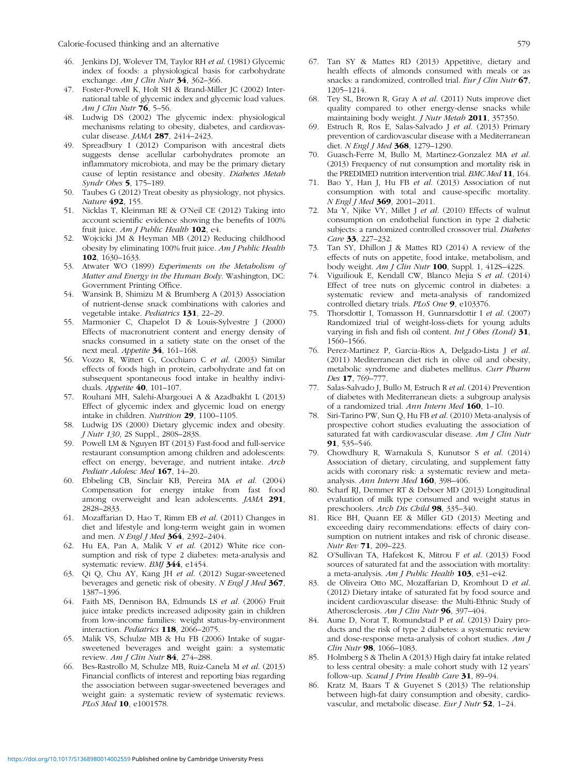<span id="page-8-0"></span>Calorie-focused thinking and an alternative 579

- 46. Jenkins DJ, Wolever TM, Taylor RH et al. (1981) Glycemic index of foods: a physiological basis for carbohydrate exchange. Am J Clin Nutr 34, 362-366.
- 47. Foster-Powell K, Holt SH & Brand-Miller JC (2002) International table of glycemic index and glycemic load values. Am J Clin Nutr 76, 5–56.
- 48. Ludwig DS (2002) The glycemic index: physiological mechanisms relating to obesity, diabetes, and cardiovascular disease. JAMA 287, 2414–2423.
- 49. Spreadbury I (2012) Comparison with ancestral diets suggests dense acellular carbohydrates promote an inflammatory microbiota, and may be the primary dietary cause of leptin resistance and obesity. Diabetes Metab Syndr Obes 5, 175–189.
- 50. Taubes G (2012) Treat obesity as physiology, not physics. Nature 492, 155.
- 51. Nicklas T, Kleinman RE & O'Neil CE (2012) Taking into account scientific evidence showing the benefits of 100% fruit juice. Am J Public Health 102, e4.
- 52. Wojcicki JM & Heyman MB (2012) Reducing childhood obesity by eliminating 100% fruit juice. Am J Public Health 102, 1630–1633.
- 53. Atwater WO (1899) Experiments on the Metabolism of Matter and Energy in the Human Body. Washington, DC: Government Printing Office.
- 54. Wansink B, Shimizu M & Brumberg A (2013) Association of nutrient-dense snack combinations with calories and vegetable intake. Pediatrics 131, 22–29.
- 55. Marmonier C, Chapelot D & Louis-Sylvestre J (2000) Effects of macronutrient content and energy density of snacks consumed in a satiety state on the onset of the next meal. Appetite 34, 161–168.
- 56. Vozzo R, Wittert G, Cocchiaro C et al. (2003) Similar effects of foods high in protein, carbohydrate and fat on subsequent spontaneous food intake in healthy individuals. Appetite 40, 101–107.
- 57. Rouhani MH, Salehi-Abargouei A & Azadbakht L (2013) Effect of glycemic index and glycemic load on energy intake in children. Nutrition 29, 1100–1105.
- 58. Ludwig DS (2000) Dietary glycemic index and obesity. J Nutr 130, 2S Suppl., 280S–283S.
- 59. Powell LM & Nguyen BT (2013) Fast-food and full-service restaurant consumption among children and adolescents: effect on energy, beverage, and nutrient intake. Arch Pediatr Adolesc Med 167, 14-20.
- 60. Ebbeling CB, Sinclair KB, Pereira MA et al. (2004) Compensation for energy intake from fast food among overweight and lean adolescents. JAMA 291, 2828–2833.
- 61. Mozaffarian D, Hao T, Rimm EB et al. (2011) Changes in diet and lifestyle and long-term weight gain in women and men. N Engl J Med 364, 2392-2404.
- 62. Hu EA, Pan A, Malik V et al. (2012) White rice consumption and risk of type 2 diabetes: meta-analysis and systematic review. BMJ 344, e1454.
- 63. Qi Q, Chu AY, Kang JH et al. (2012) Sugar-sweetened beverages and genetic risk of obesity. N Engl J Med 367, 1387–1396.
- 64. Faith MS, Dennison BA, Edmunds LS et al. (2006) Fruit juice intake predicts increased adiposity gain in children from low-income families: weight status-by-environment interaction. Pediatrics 118, 2066–2075.
- 65. Malik VS, Schulze MB & Hu FB (2006) Intake of sugarsweetened beverages and weight gain: a systematic review. Am J Clin Nutr 84, 274-288.
- 66. Bes-Rastrollo M, Schulze MB, Ruiz-Canela M et al. (2013) Financial conflicts of interest and reporting bias regarding the association between sugar-sweetened beverages and weight gain: a systematic review of systematic reviews. PLoS Med 10, e1001578.
- 67. Tan SY & Mattes RD (2013) Appetitive, dietary and health effects of almonds consumed with meals or as snacks: a randomized, controlled trial. Eur J Clin Nutr 67, 1205–1214.
- 68. Tey SL, Brown R, Gray A et al. (2011) Nuts improve diet quality compared to other energy-dense snacks while maintaining body weight. *J Nutr Metab* 2011, 357350.
- 69. Estruch R, Ros E, Salas-Salvado J et al. (2013) Primary prevention of cardiovascular disease with a Mediterranean diet. N Engl J Med 368, 1279-1290.
- 70. Guasch-Ferre M, Bullo M, Martinez-Gonzalez MA et al. (2013) Frequency of nut consumption and mortality risk in the PREDIMED nutrition intervention trial. BMC Med 11, 164.
- 71. Bao Y, Han J, Hu FB et al. (2013) Association of nut consumption with total and cause-specific mortality. N Engl J Med 369, 2001–2011.
- 72. Ma Y, Njike VY, Millet J et al. (2010) Effects of walnut consumption on endothelial function in type 2 diabetic subjects: a randomized controlled crossover trial. Diabetes Care 33, 227–232.
- 73. Tan SY, Dhillon J & Mattes RD (2014) A review of the effects of nuts on appetite, food intake, metabolism, and body weight. Am J Clin Nutr 100, Suppl. 1, 412S–422S.
- 74. Viguiliouk E, Kendall CW, Blanco Mejia S et al. (2014) Effect of tree nuts on glycemic control in diabetes: a systematic review and meta-analysis of randomized controlled dietary trials. PLoS One 9, e103376.
- 75. Thorsdottir I, Tomasson H, Gunnarsdottir I et al. (2007) Randomized trial of weight-loss-diets for young adults varying in fish and fish oil content. *Int J Obes (Lond)*  $31$ , 1560–1566.
- 76. Perez-Martinez P, Garcia-Rios A, Delgado-Lista J et al. (2011) Mediterranean diet rich in olive oil and obesity, metabolic syndrome and diabetes mellitus. Curr Pharm Des 17, 769-777.
- 77. Salas-Salvado J, Bullo M, Estruch R et al. (2014) Prevention of diabetes with Mediterranean diets: a subgroup analysis of a randomized trial. Ann Intern Med 160, 1–10.
- 78. Siri-Tarino PW, Sun Q, Hu FB et al. (2010) Meta-analysis of prospective cohort studies evaluating the association of saturated fat with cardiovascular disease. Am J Clin Nutr 91, 535–546.
- 79. Chowdhury R, Warnakula S, Kunutsor S et al. (2014) Association of dietary, circulating, and supplement fatty acids with coronary risk: a systematic review and metaanalysis. Ann Intern Med 160, 398–406.
- 80. Scharf RJ, Demmer RT & Deboer MD (2013) Longitudinal evaluation of milk type consumed and weight status in preschoolers. Arch Dis Child 98, 335–340.
- 81. Rice BH, Quann EE & Miller GD (2013) Meeting and exceeding dairy recommendations: effects of dairy consumption on nutrient intakes and risk of chronic disease. Nutr Rev 71, 209–223.
- 82. O'Sullivan TA, Hafekost K, Mitrou F et al. (2013) Food sources of saturated fat and the association with mortality: a meta-analysis. Am *J Public Health* **103**, e31–e42.
- 83. de Oliveira Otto MC, Mozaffarian D, Kromhout D et al. (2012) Dietary intake of saturated fat by food source and incident cardiovascular disease: the Multi-Ethnic Study of Atherosclerosis. Am J Clin Nutr 96, 397-404.
- 84. Aune D, Norat T, Romundstad P et al. (2013) Dairy products and the risk of type 2 diabetes: a systematic review and dose-response meta-analysis of cohort studies. Am J Clin Nutr 98, 1066-1083.
- 85. Holmberg S & Thelin A (2013) High dairy fat intake related to less central obesity: a male cohort study with 12 years' follow-up. Scand J Prim Health Care 31, 89-94.
- 86. Kratz M, Baars T & Guyenet S (2013) The relationship between high-fat dairy consumption and obesity, cardiovascular, and metabolic disease. Eur J Nutr 52, 1–24.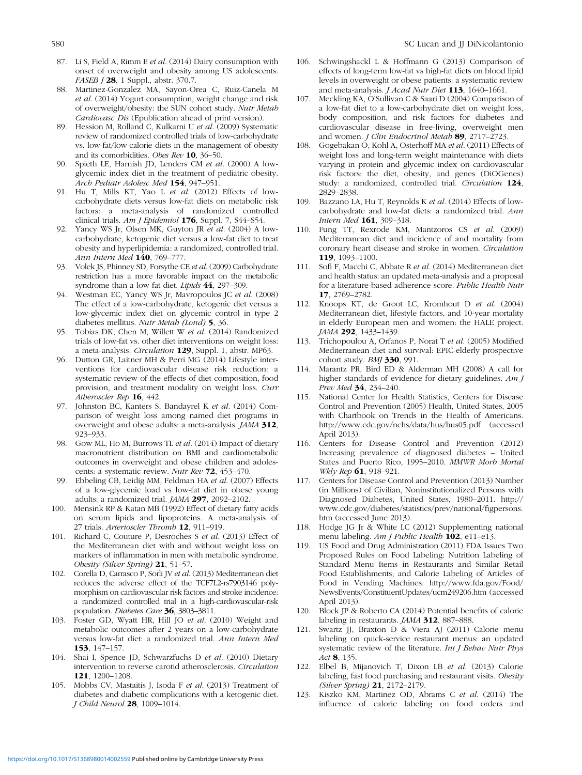- <span id="page-9-0"></span>87. Li S, Field A, Rimm E et al. (2014) Dairy consumption with onset of overweight and obesity among US adolescents. FASEB J 28, 1 Suppl., abstr. 370.7.
- 88. Martinez-Gonzalez MA, Sayon-Orea C, Ruiz-Canela M et al. (2014) Yogurt consumption, weight change and risk of overweight/obesity: the SUN cohort study. Nutr Metab Cardiovasc Dis (Epublication ahead of print version).
- 89. Hession M, Rolland C, Kulkarni U et al. (2009) Systematic review of randomized controlled trials of low-carbohydrate vs. low-fat/low-calorie diets in the management of obesity and its comorbidities. Obes Rev 10, 36–50.
- 90. Spieth LE, Harnish JD, Lenders CM et al. (2000) A lowglycemic index diet in the treatment of pediatric obesity. Arch Pediatr Adolesc Med 154, 947–951.
- 91. Hu T, Mills KT, Yao L et al. (2012) Effects of lowcarbohydrate diets versus low-fat diets on metabolic risk factors: a meta-analysis of randomized controlled clinical trials. Am J Epidemiol 176, Suppl. 7, S44-S54.
- 92. Yancy WS Jr, Olsen MK, Guyton JR et al. (2004) A lowcarbohydrate, ketogenic diet versus a low-fat diet to treat obesity and hyperlipidemia: a randomized, controlled trial. Ann Intern Med 140, 769-777.
- 93. Volek JS, Phinney SD, Forsythe CE et al. (2009) Carbohydrate restriction has a more favorable impact on the metabolic syndrome than a low fat diet. Lipids 44, 297–309.
- 94. Westman EC, Yancy WS Jr, Mavropoulos JC et al. (2008) The effect of a low-carbohydrate, ketogenic diet versus a low-glycemic index diet on glycemic control in type 2 diabetes mellitus. Nutr Metab (Lond) 5, 36.
- 95. Tobias DK, Chen M, Willett W et al. (2014) Randomized trials of low-fat vs. other diet interventions on weight loss: a meta-analysis. Circulation 129, Suppl. 1, abstr. MP63.
- 96. Dutton GR, Laitner MH & Perri MG (2014) Lifestyle interventions for cardiovascular disease risk reduction: a systematic review of the effects of diet composition, food provision, and treatment modality on weight loss. Curr Atheroscler Rep 16, 442.
- 97. Johnston BC, Kanters S, Bandayrel K et al. (2014) Comparison of weight loss among named diet programs in overweight and obese adults: a meta-analysis. JAMA 312, 923–933.
- 98. Gow ML, Ho M, Burrows TL et al. (2014) Impact of dietary macronutrient distribution on BMI and cardiometabolic outcomes in overweight and obese children and adolescents: a systematic review. Nutr Rev 72, 453-470.
- Ebbeling CB, Leidig MM, Feldman HA et al. (2007) Effects of a low-glycemic load vs low-fat diet in obese young adults: a randomized trial. JAMA 297, 2092–2102.
- 100. Mensink RP & Katan MB (1992) Effect of dietary fatty acids on serum lipids and lipoproteins. A meta-analysis of 27 trials. Arterioscler Thromb 12, 911–919.
- 101. Richard C, Couture P, Desroches S et al. (2013) Effect of the Mediterranean diet with and without weight loss on markers of inflammation in men with metabolic syndrome. Obesity (Silver Spring) 21, 51-57.
- 102. Corella D, Carrasco P, Sorli JV et al. (2013) Mediterranean diet reduces the adverse effect of the TCF7L2-rs7903146 polymorphism on cardiovascular risk factors and stroke incidence: a randomized controlled trial in a high-cardiovascular-risk population. Diabetes Care 36, 3803–3811.
- 103. Foster GD, Wyatt HR, Hill JO et al. (2010) Weight and metabolic outcomes after 2 years on a low-carbohydrate versus low-fat diet: a randomized trial. Ann Intern Med 153, 147–157.
- 104. Shai I, Spence JD, Schwarzfuchs D et al. (2010) Dietary intervention to reverse carotid atherosclerosis. Circulation 121, 1200–1208.
- 105. Mobbs CV, Mastaitis J, Isoda F et al. (2013) Treatment of diabetes and diabetic complications with a ketogenic diet. J Child Neurol 28, 1009–1014.
- 106. Schwingshackl L & Hoffmann G (2013) Comparison of effects of long-term low-fat vs high-fat diets on blood lipid levels in overweight or obese patients: a systematic review and meta-analysis. *J Acad Nutr Diet* 113, 1640-1661.
- 107. Meckling KA, O'Sullivan C & Saari D (2004) Comparison of a low-fat diet to a low-carbohydrate diet on weight loss, body composition, and risk factors for diabetes and cardiovascular disease in free-living, overweight men and women. J Clin Endocrinol Metab 89, 2717-2723.
- 108. Gogebakan O, Kohl A, Osterhoff MA et al. (2011) Effects of weight loss and long-term weight maintenance with diets varying in protein and glycemic index on cardiovascular risk factors: the diet, obesity, and genes (DiOGenes) study: a randomized, controlled trial. Circulation 124, 2829–2838.
- 109. Bazzano LA, Hu T, Reynolds K et al. (2014) Effects of lowcarbohydrate and low-fat diets: a randomized trial. Ann Intern Med 161, 309–318.
- 110. Fung TT, Rexrode KM, Mantzoros CS et al. (2009) Mediterranean diet and incidence of and mortality from coronary heart disease and stroke in women. Circulation 119, 1093–1100.
- 111. Sofi F, Macchi C, Abbate R et al. (2014) Mediterranean diet and health status: an updated meta-analysis and a proposal for a literature-based adherence score. Public Health Nutr 17, 2769–2782.
- 112. Knoops KT, de Groot LC, Kromhout D et al. (2004) Mediterranean diet, lifestyle factors, and 10-year mortality in elderly European men and women: the HALE project. JAMA 292, 1433-1439.
- 113. Trichopoulou A, Orfanos P, Norat T et al. (2005) Modified Mediterranean diet and survival: EPIC-elderly prospective cohort study. BMJ 330, 991.
- 114. Marantz PR, Bird ED & Alderman MH (2008) A call for higher standards of evidence for dietary guidelines. Am J Prev Med 34, 234-240.
- 115. National Center for Health Statistics, Centers for Disease Control and Prevention (2005) Health, United States, 2005 with Chartbook on Trends in the Health of Americans. <http://www.cdc.gov/nchs/data/hus/hus05.pdf> (accessed April 2013).
- 116. Centers for Disease Control and Prevention (2012) Increasing prevalence of diagnosed diabetes – United States and Puerto Rico, 1995–2010. MMWR Morb Mortal Wkly Rep **61**, 918-921.
- 117. Centers for Disease Control and Prevention (2013) Number (in Millions) of Civilian, Noninstitutionalized Persons with Diagnosed Diabetes, United States, 1980–2011. [http://](http://www.cdc.gov/diabetes/statistics/prev/national/figpersons.htm) [www.cdc.gov/diabetes/statistics/prev/national/](http://www.cdc.gov/diabetes/statistics/prev/national/figpersons.htm)figpersons. [htm](http://www.cdc.gov/diabetes/statistics/prev/national/figpersons.htm) (accessed June 2013).
- 118. Hodge JG Jr & White LC (2012) Supplementing national menu labeling. Am J Public Health 102, e11-e13.
- 119. US Food and Drug Administration (2011) FDA Issues Two Proposed Rules on Food Labeling: Nutrition Labeling of Standard Menu Items in Restaurants and Similar Retail Food Establishments; and Calorie Labeling of Articles of Food in Vending Machines. [http://www.fda.gov/Food/](http://www.fda.gov/Food/NewsEvents/ConstituentUpdates/ucm249206.htm) [NewsEvents/ConstituentUpdates/ucm249206.htm](http://www.fda.gov/Food/NewsEvents/ConstituentUpdates/ucm249206.htm) (accessed April 2013).
- 120. Block JP & Roberto CA (2014) Potential benefits of calorie labeling in restaurants. JAMA 312, 887-888.
- 121. Swartz JJ, Braxton D & Viera AJ (2011) Calorie menu labeling on quick-service restaurant menus: an updated systematic review of the literature. Int J Behav Nutr Phys Act 8, 135.
- 122. Elbel B, Mijanovich T, Dixon LB et al. (2013) Calorie labeling, fast food purchasing and restaurant visits. Obesity (Silver Spring) 21, 2172–2179.
- 123. Kiszko KM, Martinez OD, Abrams C et al. (2014) The influence of calorie labeling on food orders and